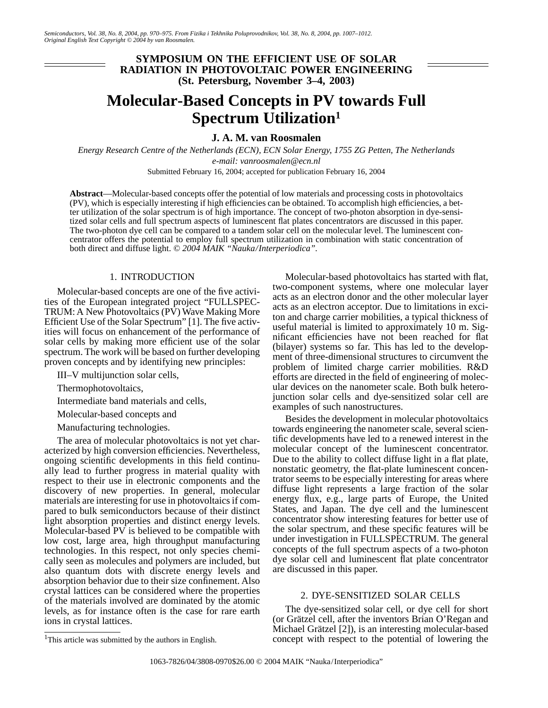## **SYMPOSIUM ON THE EFFICIENT USE OF SOLAR RADIATION IN PHOTOVOLTAIC POWER ENGINEERING (St. Petersburg, November 3–4, 2003)**

# **Molecular-Based Concepts in PV towards Full Spectrum Utilization1**

## **J. A. M. van Roosmalen**

*Energy Research Centre of the Netherlands (ECN), ECN Solar Energy, 1755 ZG Petten, The Netherlands e-mail: vanroosmalen@ecn.nl* Submitted February 16, 2004; accepted for publication February 16, 2004

**Abstract**—Molecular-based concepts offer the potential of low materials and processing costs in photovoltaics (PV), which is especially interesting if high efficiencies can be obtained. To accomplish high efficiencies, a better utilization of the solar spectrum is of high importance. The concept of two-photon absorption in dye-sensitized solar cells and full spectrum aspects of luminescent flat plates concentrators are discussed in this paper. The two-photon dye cell can be compared to a tandem solar cell on the molecular level. The luminescent concentrator offers the potential to employ full spectrum utilization in combination with static concentration of both direct and diffuse light. *© 2004 MAIK "Nauka/Interperiodica".*

#### 1. INTRODUCTION

Molecular-based concepts are one of the five activities of the European integrated project "FULLSPEC-TRUM: A New Photovoltaics (PV) Wave Making More Efficient Use of the Solar Spectrum" [1]. The five activities will focus on enhancement of the performance of solar cells by making more efficient use of the solar spectrum. The work will be based on further developing proven concepts and by identifying new principles:

III–V multijunction solar cells,

Thermophotovoltaics,

Intermediate band materials and cells,

Molecular-based concepts and

Manufacturing technologies.

The area of molecular photovoltaics is not yet characterized by high conversion efficiencies. Nevertheless, ongoing scientific developments in this field continually lead to further progress in material quality with respect to their use in electronic components and the discovery of new properties. In general, molecular materials are interesting for use in photovoltaics if compared to bulk semiconductors because of their distinct light absorption properties and distinct energy levels. Molecular-based PV is believed to be compatible with low cost, large area, high throughput manufacturing technologies. In this respect, not only species chemically seen as molecules and polymers are included, but also quantum dots with discrete energy levels and absorption behavior due to their size confinement. Also crystal lattices can be considered where the properties of the materials involved are dominated by the atomic levels, as for instance often is the case for rare earth ions in crystal lattices.

Molecular-based photovoltaics has started with flat, two-component systems, where one molecular layer acts as an electron donor and the other molecular layer acts as an electron acceptor. Due to limitations in exciton and charge carrier mobilities, a typical thickness of useful material is limited to approximately 10 m. Significant efficiencies have not been reached for flat (bilayer) systems so far. This has led to the development of three-dimensional structures to circumvent the problem of limited charge carrier mobilities. R&D efforts are directed in the field of engineering of molecular devices on the nanometer scale. Both bulk heterojunction solar cells and dye-sensitized solar cell are examples of such nanostructures.

Besides the development in molecular photovoltaics towards engineering the nanometer scale, several scientific developments have led to a renewed interest in the molecular concept of the luminescent concentrator. Due to the ability to collect diffuse light in a flat plate, nonstatic geometry, the flat-plate luminescent concentrator seems to be especially interesting for areas where diffuse light represents a large fraction of the solar energy flux, e.g., large parts of Europe, the United States, and Japan. The dye cell and the luminescent concentrator show interesting features for better use of the solar spectrum, and these specific features will be under investigation in FULLSPECTRUM. The general concepts of the full spectrum aspects of a two-photon dye solar cell and luminescent flat plate concentrator are discussed in this paper.

#### 2. DYE-SENSITIZED SOLAR CELLS

The dye-sensitized solar cell, or dye cell for short (or Grätzel cell, after the inventors Brian O'Regan and Michael Grätzel [2]), is an interesting molecular-based concept with respect to the potential of lowering the

<sup>&</sup>lt;sup>1</sup>This article was submitted by the authors in English.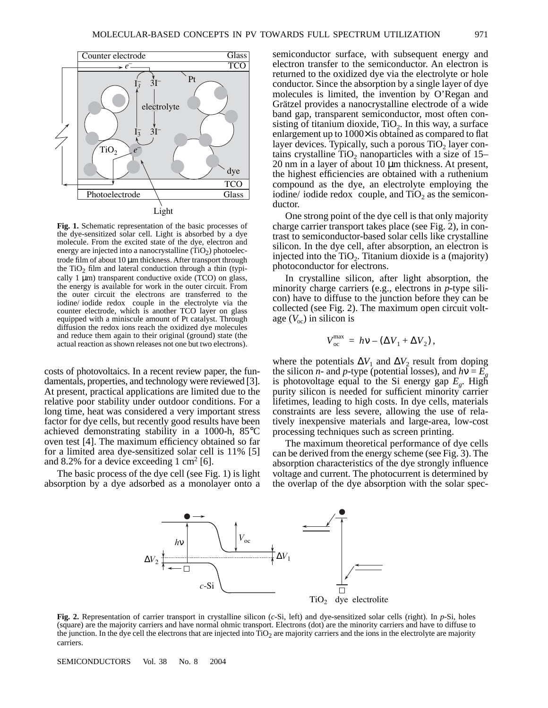

**Fig. 1.** Schematic representation of the basic processes of the dye-sensitized solar cell. Light is absorbed by a dye molecule. From the excited state of the dye, electron and energy are injected into a nanocrystalline  $(TiO<sub>2</sub>)$  photoelectrode film of about 10 µm thickness. After transport through the TiO<sub>2</sub> film and lateral conduction through a thin (typically 1  $\mu$ m) transparent conductive oxide (TCO) on glass, the energy is available for work in the outer circuit. From the outer circuit the electrons are transferred to the iodine/〈iodide redox〉 couple in the electrolyte via the counter electrode, which is another TCO layer on glass equipped with a miniscule amount of Pt catalyst. Through diffusion the redox ions reach the oxidized dye molecules and reduce them again to their original (ground) state (the actual reaction as shown releases not one but two electrons).

costs of photovoltaics. In a recent review paper, the fundamentals, properties, and technology were reviewed [3]. At present, practical applications are limited due to the relative poor stability under outdoor conditions. For a long time, heat was considered a very important stress factor for dye cells, but recently good results have been achieved demonstrating stability in a 1000-h, 85°C oven test [4]. The maximum efficiency obtained so far for a limited area dye-sensitized solar cell is 11% [5] and 8.2% for a device exceeding  $1 \text{ cm}^2$  [6].

The basic process of the dye cell (see Fig. 1) is light absorption by a dye adsorbed as a monolayer onto a semiconductor surface, with subsequent energy and electron transfer to the semiconductor. An electron is returned to the oxidized dye via the electrolyte or hole conductor. Since the absorption by a single layer of dye molecules is limited, the invention by O'Regan and Grätzel provides a nanocrystalline electrode of a wide band gap, transparent semiconductor, most often consisting of titanium dioxide,  $TiO<sub>2</sub>$ . In this way, a surface enlargement up to 1000× is obtained as compared to flat layer devices. Typically, such a porous  $TiO<sub>2</sub>$  layer contains crystalline  $TiO<sub>2</sub>$  nanoparticles with a size of 15– 20 nm in a layer of about 10 µm thickness. At present, the highest efficiencies are obtained with a ruthenium compound as the dye, an electrolyte employing the iodine/ $\langle$ iodide redox $\rangle$  couple, and TiO<sub>2</sub> as the semiconductor.

One strong point of the dye cell is that only majority charge carrier transport takes place (see Fig. 2), in contrast to semiconductor-based solar cells like crystalline silicon. In the dye cell, after absorption, an electron is injected into the  $TiO<sub>2</sub>$ . Titanium dioxide is a (majority) photoconductor for electrons.

In crystalline silicon, after light absorption, the minority charge carriers (e.g., electrons in *p*-type silicon) have to diffuse to the junction before they can be collected (see Fig. 2). The maximum open circuit voltage  $(V_{oc})$  in silicon is

$$
V_{\text{oc}}^{\text{max}} = h \mathbf{v} - (\Delta V_1 + \Delta V_2),
$$

where the potentials  $\Delta V_1$  and  $\Delta V_2$  result from doping the silicon  $\overline{n}$ - and  $\overline{p}$ -type (potential losses), and  $h\nu = E_{g}$ is photovoltage equal to the Si energy gap  $E<sub>g</sub>$ . High purity silicon is needed for sufficient minority carrier lifetimes, leading to high costs. In dye cells, materials constraints are less severe, allowing the use of relatively inexpensive materials and large-area, low-cost processing techniques such as screen printing.

The maximum theoretical performance of dye cells can be derived from the energy scheme (see Fig. 3). The absorption characteristics of the dye strongly influence voltage and current. The photocurrent is determined by the overlap of the dye absorption with the solar spec-



**Fig. 2.** Representation of carrier transport in crystalline silicon (*c*-Si, left) and dye-sensitized solar cells (right). In *p*-Si, holes (square) are the majority carriers and have normal ohmic transport. Electrons (dot) are the minority carriers and have to diffuse to the junction. In the dye cell the electrons that are injected into  $\text{TiO}_2$  are majority carriers and the ions in the electrolyte are majority carriers.

SEMICONDUCTORS Vol. 38 No. 8 2004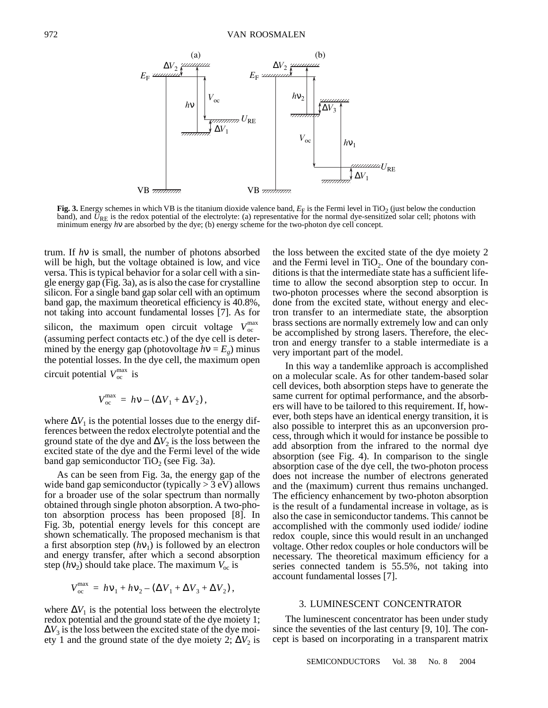

**Fig. 3.** Energy schemes in which VB is the titanium dioxide valence band,  $E_F$  is the Fermi level in TiO<sub>2</sub> (just below the conduction band), and  $U_{\text{RE}}$  is the redox potential of the electrolyte: (a) representative for the normal dye-sensitized solar cell; photons with minimum energy *hv* are absorbed by the dye; (b) energy scheme for the two-photon dye cell concept.

trum. If *h*ν is small, the number of photons absorbed will be high, but the voltage obtained is low, and vice versa. This is typical behavior for a solar cell with a single energy gap (Fig. 3a), as is also the case for crystalline silicon. For a single band gap solar cell with an optimum band gap, the maximum theoretical efficiency is 40.8%, not taking into account fundamental losses [7]. As for silicon, the maximum open circuit voltage  $V_{\text{oc}}^{\text{max}}$ (assuming perfect contacts etc.) of the dye cell is determined by the energy gap (photovoltage  $hv = E_g$ ) minus the potential losses. In the dye cell, the maximum open circuit potential  $V_{\text{oc}}^{\text{max}}$  is

$$
V_{\rm oc}^{\rm max} = h \mathsf{V} - (\Delta V_1 + \Delta V_2),
$$

where  $\Delta V_1$  is the potential losses due to the energy differences between the redox electrolyte potential and the ground state of the dye and  $\Delta V_2$  is the loss between the excited state of the dye and the Fermi level of the wide band gap semiconductor  $TiO<sub>2</sub>$  (see Fig. 3a).

As can be seen from Fig. 3a, the energy gap of the wide band gap semiconductor (typically  $>$  3 eV) allows for a broader use of the solar spectrum than normally obtained through single photon absorption. A two-photon absorption process has been proposed [8]. In Fig. 3b, potential energy levels for this concept are shown schematically. The proposed mechanism is that a first absorption step  $(hv_1)$  is followed by an electron and energy transfer, after which a second absorption step  $(hv_2)$  should take place. The maximum  $V_{oc}$  is

$$
V_{\text{oc}}^{\text{max}} = h v_1 + h v_2 - (\Delta V_1 + \Delta V_3 + \Delta V_2),
$$

where  $\Delta V_1$  is the potential loss between the electrolyte redox potential and the ground state of the dye moiety 1;  $\Delta V_3$  is the loss between the excited state of the dye moiety 1 and the ground state of the dye moiety 2;  $\Delta V_2$  is the loss between the excited state of the dye moiety 2 and the Fermi level in  $TiO<sub>2</sub>$ . One of the boundary conditions is that the intermediate state has a sufficient lifetime to allow the second absorption step to occur. In two-photon processes where the second absorption is done from the excited state, without energy and electron transfer to an intermediate state, the absorption brass sections are normally extremely low and can only be accomplished by strong lasers. Therefore, the electron and energy transfer to a stable intermediate is a very important part of the model.

In this way a tandemlike approach is accomplished on a molecular scale. As for other tandem-based solar cell devices, both absorption steps have to generate the same current for optimal performance, and the absorbers will have to be tailored to this requirement. If, however, both steps have an identical energy transition, it is also possible to interpret this as an upconversion process, through which it would for instance be possible to add absorption from the infrared to the normal dye absorption (see Fig. 4). In comparison to the single absorption case of the dye cell, the two-photon process does not increase the number of electrons generated and the (maximum) current thus remains unchanged. The efficiency enhancement by two-photon absorption is the result of a fundamental increase in voltage, as is also the case in semiconductor tandems. This cannot be accomplished with the commonly used iodide/〈iodine redox〉 couple, since this would result in an unchanged voltage. Other redox couples or hole conductors will be necessary. The theoretical maximum efficiency for a series connected tandem is 55.5%, not taking into account fundamental losses [7].

#### 3. LUMINESCENT CONCENTRATOR

The luminescent concentrator has been under study since the seventies of the last century [9, 10]. The concept is based on incorporating in a transparent matrix

SEMICONDUCTORS Vol. 38 No. 8 2004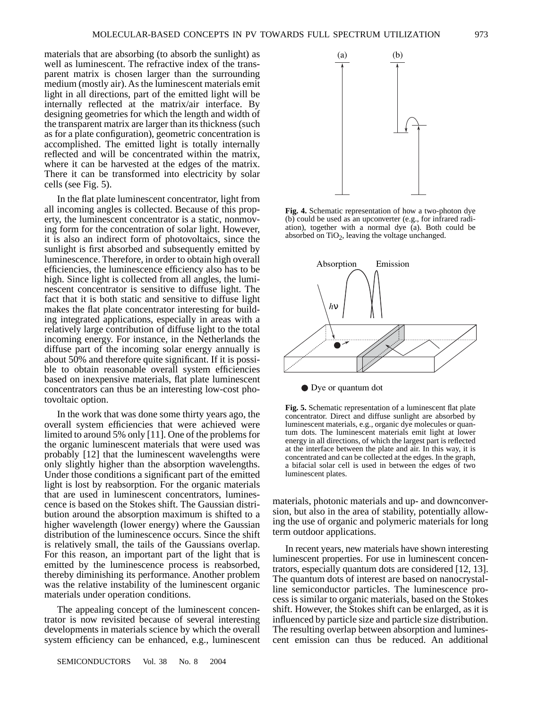materials that are absorbing (to absorb the sunlight) as well as luminescent. The refractive index of the transparent matrix is chosen larger than the surrounding medium (mostly air). As the luminescent materials emit light in all directions, part of the emitted light will be internally reflected at the matrix/air interface. By designing geometries for which the length and width of the transparent matrix are larger than its thickness (such as for a plate configuration), geometric concentration is accomplished. The emitted light is totally internally reflected and will be concentrated within the matrix, where it can be harvested at the edges of the matrix. There it can be transformed into electricity by solar cells (see Fig. 5).

In the flat plate luminescent concentrator, light from all incoming angles is collected. Because of this property, the luminescent concentrator is a static, nonmoving form for the concentration of solar light. However, it is also an indirect form of photovoltaics, since the sunlight is first absorbed and subsequently emitted by luminescence. Therefore, in order to obtain high overall efficiencies, the luminescence efficiency also has to be high. Since light is collected from all angles, the luminescent concentrator is sensitive to diffuse light. The fact that it is both static and sensitive to diffuse light makes the flat plate concentrator interesting for building integrated applications, especially in areas with a relatively large contribution of diffuse light to the total incoming energy. For instance, in the Netherlands the diffuse part of the incoming solar energy annually is about 50% and therefore quite significant. If it is possible to obtain reasonable overall system efficiencies based on inexpensive materials, flat plate luminescent concentrators can thus be an interesting low-cost photovoltaic option.

In the work that was done some thirty years ago, the overall system efficiencies that were achieved were limited to around 5% only [11]. One of the problems for the organic luminescent materials that were used was probably [12] that the luminescent wavelengths were only slightly higher than the absorption wavelengths. Under those conditions a significant part of the emitted light is lost by reabsorption. For the organic materials that are used in luminescent concentrators, luminescence is based on the Stokes shift. The Gaussian distribution around the absorption maximum is shifted to a higher wavelength (lower energy) where the Gaussian distribution of the luminescence occurs. Since the shift is relatively small, the tails of the Gaussians overlap. For this reason, an important part of the light that is emitted by the luminescence process is reabsorbed, thereby diminishing its performance. Another problem was the relative instability of the luminescent organic materials under operation conditions.

The appealing concept of the luminescent concentrator is now revisited because of several interesting developments in materials science by which the overall system efficiency can be enhanced, e.g., luminescent

SEMICONDUCTORS Vol. 38 No. 8 2004



**Fig. 4.** Schematic representation of how a two-photon dye (b) could be used as an upconverter (e.g., for infrared radiation), together with a normal dye (a). Both could be absorbed on  $TiO<sub>2</sub>$ , leaving the voltage unchanged.



**Fig. 5.** Schematic representation of a luminescent flat plate concentrator. Direct and diffuse sunlight are absorbed by luminescent materials, e.g., organic dye molecules or quantum dots. The luminescent materials emit light at lower energy in all directions, of which the largest part is reflected at the interface between the plate and air. In this way, it is

luminescent plates.

materials, photonic materials and up- and downconversion, but also in the area of stability, potentially allowing the use of organic and polymeric materials for long term outdoor applications.

concentrated and can be collected at the edges. In the graph, a bifacial solar cell is used in between the edges of two

In recent years, new materials have shown interesting luminescent properties. For use in luminescent concentrators, especially quantum dots are considered [12, 13]. The quantum dots of interest are based on nanocrystalline semiconductor particles. The luminescence process is similar to organic materials, based on the Stokes shift. However, the Stokes shift can be enlarged, as it is influenced by particle size and particle size distribution. The resulting overlap between absorption and luminescent emission can thus be reduced. An additional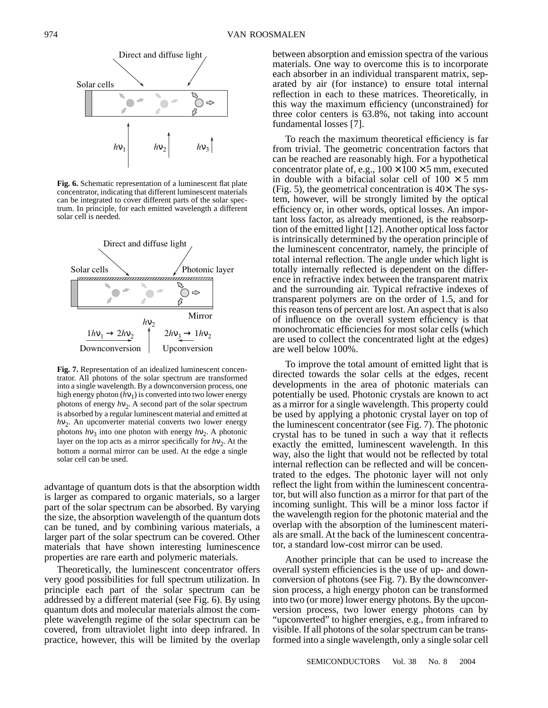

**Fig. 6.** Schematic representation of a luminescent flat plate concentrator, indicating that different luminescent materials can be integrated to cover different parts of the solar spectrum. In principle, for each emitted wavelength a different solar cell is needed.



**Fig. 7.** Representation of an idealized luminescent concentrator. All photons of the solar spectrum are transformed into a single wavelength. By a downconversion process, one high energy photon  $(hv_1)$  is converted into two lower energy photons of energy  $h\nu_2$ . A second part of the solar spectrum is absorbed by a regular luminescent material and emitted at  $h\nu$ <sub>2</sub>. An upconverter material converts two lower energy photons  $h\nu_3$  into one photon with energy  $h\nu_2$ . A photonic layer on the top acts as a mirror specifically for  $h\nu_2$ . At the bottom a normal mirror can be used. At the edge a single solar cell can be used.

advantage of quantum dots is that the absorption width is larger as compared to organic materials, so a larger part of the solar spectrum can be absorbed. By varying the size, the absorption wavelength of the quantum dots can be tuned, and by combining various materials, a larger part of the solar spectrum can be covered. Other materials that have shown interesting luminescence properties are rare earth and polymeric materials.

Theoretically, the luminescent concentrator offers very good possibilities for full spectrum utilization. In principle each part of the solar spectrum can be addressed by a different material (see Fig. 6). By using quantum dots and molecular materials almost the complete wavelength regime of the solar spectrum can be covered, from ultraviolet light into deep infrared. In practice, however, this will be limited by the overlap between absorption and emission spectra of the various materials. One way to overcome this is to incorporate each absorber in an individual transparent matrix, separated by air (for instance) to ensure total internal reflection in each to these matrices. Theoretically, in this way the maximum efficiency (unconstrained) for three color centers is 63.8%, not taking into account fundamental losses [7].

To reach the maximum theoretical efficiency is far from trivial. The geometric concentration factors that can be reached are reasonably high. For a hypothetical concentrator plate of, e.g.,  $100 \times 100 \times 5$  mm, executed in double with a bifacial solar cell of  $100 \times 5$  mm (Fig. 5), the geometrical concentration is 40×. The system, however, will be strongly limited by the optical efficiency or, in other words, optical losses. An important loss factor, as already mentioned, is the reabsorption of the emitted light [12]. Another optical loss factor is intrinsically determined by the operation principle of the luminescent concentrator, namely, the principle of total internal reflection. The angle under which light is totally internally reflected is dependent on the difference in refractive index between the transparent matrix and the surrounding air. Typical refractive indexes of transparent polymers are on the order of 1.5, and for this reason tens of percent are lost. An aspect that is also of influence on the overall system efficiency is that monochromatic efficiencies for most solar cells (which are used to collect the concentrated light at the edges) are well below 100%.

To improve the total amount of emitted light that is directed towards the solar cells at the edges, recent developments in the area of photonic materials can potentially be used. Photonic crystals are known to act as a mirror for a single wavelength. This property could be used by applying a photonic crystal layer on top of the luminescent concentrator (see Fig. 7). The photonic crystal has to be tuned in such a way that it reflects exactly the emitted, luminescent wavelength. In this way, also the light that would not be reflected by total internal reflection can be reflected and will be concentrated to the edges. The photonic layer will not only reflect the light from within the luminescent concentrator, but will also function as a mirror for that part of the incoming sunlight. This will be a minor loss factor if the wavelength region for the photonic material and the overlap with the absorption of the luminescent materials are small. At the back of the luminescent concentrator, a standard low-cost mirror can be used.

Another principle that can be used to increase the overall system efficiencies is the use of up- and downconversion of photons (see Fig. 7). By the downconversion process, a high energy photon can be transformed into two (or more) lower energy photons. By the upconversion process, two lower energy photons can by "upconverted" to higher energies, e.g., from infrared to visible. If all photons of the solar spectrum can be transformed into a single wavelength, only a single solar cell